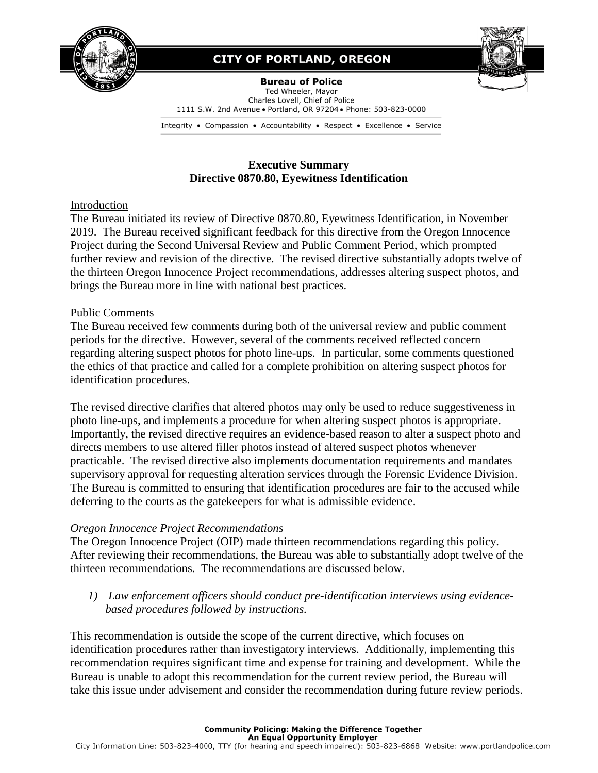

## **CITY OF PORTLAND, OREGON**



**Bureau of Police** Ted Wheeler, Mayor Charles Lovell, Chief of Police 1111 S.W. 2nd Avenue . Portland, OR 97204 . Phone: 503-823-0000

Integrity • Compassion • Accountability • Respect • Excellence • Service

## **Executive Summary Directive 0870.80, Eyewitness Identification**

## Introduction

The Bureau initiated its review of Directive 0870.80, Eyewitness Identification, in November 2019. The Bureau received significant feedback for this directive from the Oregon Innocence Project during the Second Universal Review and Public Comment Period, which prompted further review and revision of the directive. The revised directive substantially adopts twelve of the thirteen Oregon Innocence Project recommendations, addresses altering suspect photos, and brings the Bureau more in line with national best practices.

## Public Comments

The Bureau received few comments during both of the universal review and public comment periods for the directive. However, several of the comments received reflected concern regarding altering suspect photos for photo line-ups. In particular, some comments questioned the ethics of that practice and called for a complete prohibition on altering suspect photos for identification procedures.

The revised directive clarifies that altered photos may only be used to reduce suggestiveness in photo line-ups, and implements a procedure for when altering suspect photos is appropriate. Importantly, the revised directive requires an evidence-based reason to alter a suspect photo and directs members to use altered filler photos instead of altered suspect photos whenever practicable. The revised directive also implements documentation requirements and mandates supervisory approval for requesting alteration services through the Forensic Evidence Division. The Bureau is committed to ensuring that identification procedures are fair to the accused while deferring to the courts as the gatekeepers for what is admissible evidence.

## *Oregon Innocence Project Recommendations*

The Oregon Innocence Project (OIP) made thirteen recommendations regarding this policy. After reviewing their recommendations, the Bureau was able to substantially adopt twelve of the thirteen recommendations. The recommendations are discussed below.

*1) Law enforcement officers should conduct pre-identification interviews using evidencebased procedures followed by instructions.*

This recommendation is outside the scope of the current directive, which focuses on identification procedures rather than investigatory interviews. Additionally, implementing this recommendation requires significant time and expense for training and development. While the Bureau is unable to adopt this recommendation for the current review period, the Bureau will take this issue under advisement and consider the recommendation during future review periods.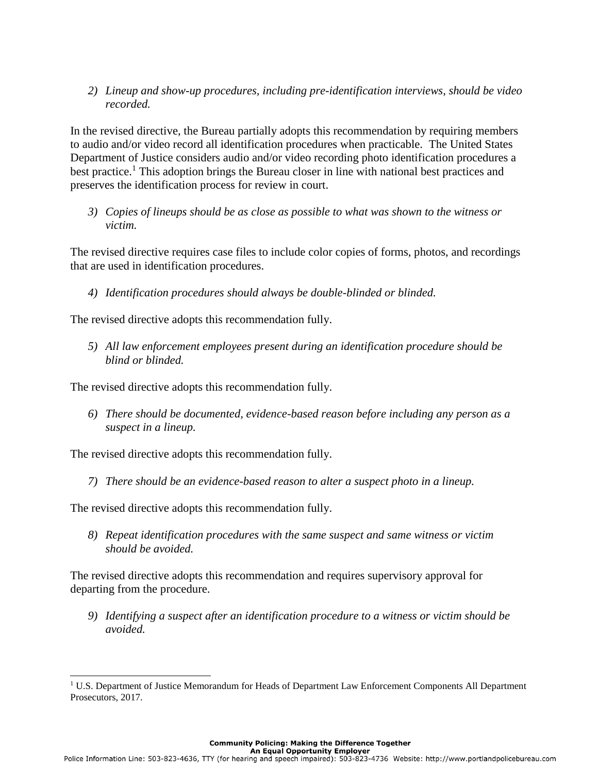*2) Lineup and show-up procedures, including pre-identification interviews, should be video recorded.*

In the revised directive, the Bureau partially adopts this recommendation by requiring members to audio and/or video record all identification procedures when practicable. The United States Department of Justice considers audio and/or video recording photo identification procedures a best practice.<sup>1</sup> This adoption brings the Bureau closer in line with national best practices and preserves the identification process for review in court.

*3) Copies of lineups should be as close as possible to what was shown to the witness or victim.* 

The revised directive requires case files to include color copies of forms, photos, and recordings that are used in identification procedures.

*4) Identification procedures should always be double-blinded or blinded.*

The revised directive adopts this recommendation fully.

*5) All law enforcement employees present during an identification procedure should be blind or blinded.*

The revised directive adopts this recommendation fully.

*6) There should be documented, evidence-based reason before including any person as a suspect in a lineup.*

The revised directive adopts this recommendation fully.

*7) There should be an evidence-based reason to alter a suspect photo in a lineup.*

The revised directive adopts this recommendation fully.

 $\overline{a}$ 

*8) Repeat identification procedures with the same suspect and same witness or victim should be avoided.*

The revised directive adopts this recommendation and requires supervisory approval for departing from the procedure.

*9) Identifying a suspect after an identification procedure to a witness or victim should be avoided.* 

<sup>&</sup>lt;sup>1</sup> U.S. Department of Justice Memorandum for Heads of Department Law Enforcement Components All Department Prosecutors, 2017.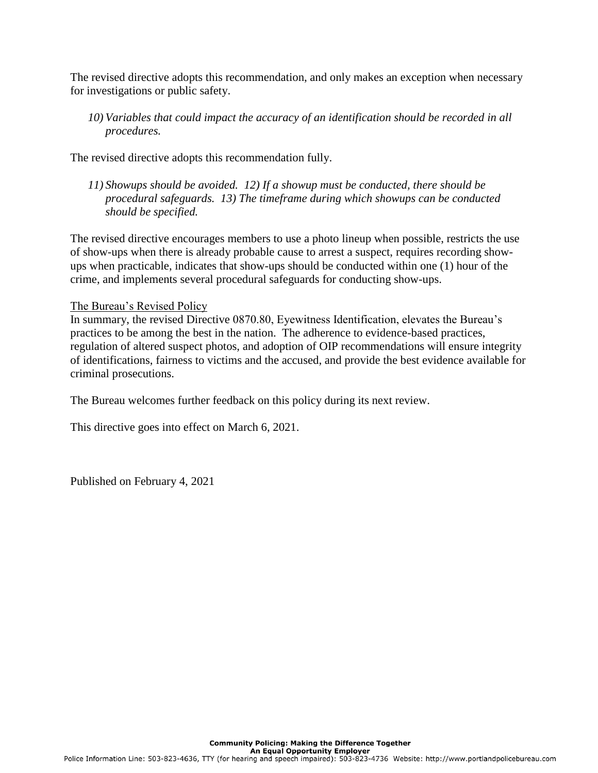The revised directive adopts this recommendation, and only makes an exception when necessary for investigations or public safety.

*10) Variables that could impact the accuracy of an identification should be recorded in all procedures.* 

The revised directive adopts this recommendation fully.

*11) Showups should be avoided. 12) If a showup must be conducted, there should be procedural safeguards. 13) The timeframe during which showups can be conducted should be specified.* 

The revised directive encourages members to use a photo lineup when possible, restricts the use of show-ups when there is already probable cause to arrest a suspect, requires recording showups when practicable, indicates that show-ups should be conducted within one (1) hour of the crime, and implements several procedural safeguards for conducting show-ups.

## The Bureau's Revised Policy

In summary, the revised Directive 0870.80, Eyewitness Identification, elevates the Bureau's practices to be among the best in the nation. The adherence to evidence-based practices, regulation of altered suspect photos, and adoption of OIP recommendations will ensure integrity of identifications, fairness to victims and the accused, and provide the best evidence available for criminal prosecutions.

The Bureau welcomes further feedback on this policy during its next review.

This directive goes into effect on March 6, 2021.

Published on February 4, 2021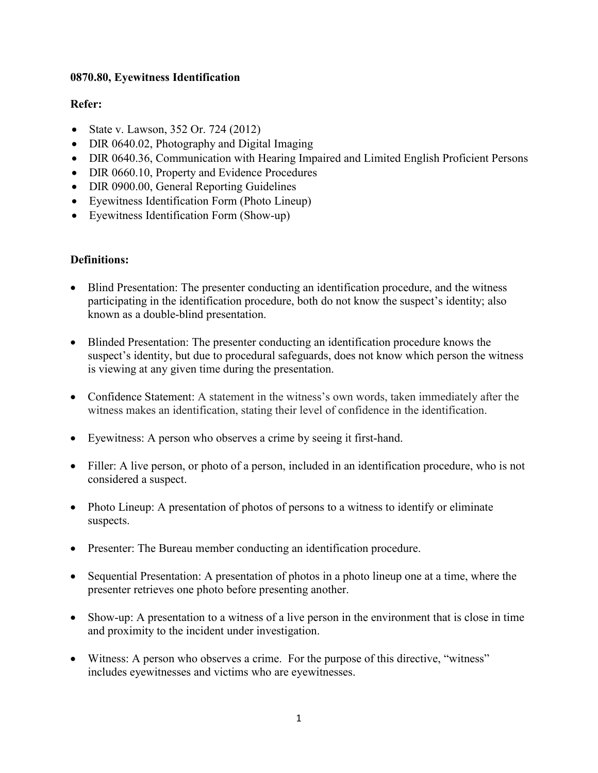## **0870.80, Eyewitness Identification**

## **Refer:**

- State v. Lawson, 352 Or. 724 (2012)
- DIR 0640.02, Photography and Digital Imaging
- DIR 0640.36, Communication with Hearing Impaired and Limited English Proficient Persons
- DIR 0660.10, Property and Evidence Procedures
- DIR 0900.00, General Reporting Guidelines
- Eyewitness Identification Form (Photo Lineup)
- Eyewitness Identification Form (Show-up)

## **Definitions:**

- Blind Presentation: The presenter conducting an identification procedure, and the witness participating in the identification procedure, both do not know the suspect's identity; also known as a double-blind presentation.
- Blinded Presentation: The presenter conducting an identification procedure knows the suspect's identity, but due to procedural safeguards, does not know which person the witness is viewing at any given time during the presentation.
- Confidence Statement: A statement in the witness's own words, taken immediately after the witness makes an identification, stating their level of confidence in the identification.
- Eyewitness: A person who observes a crime by seeing it first-hand.
- Filler: A live person, or photo of a person, included in an identification procedure, who is not considered a suspect.
- Photo Lineup: A presentation of photos of persons to a witness to identify or eliminate suspects.
- Presenter: The Bureau member conducting an identification procedure.
- Sequential Presentation: A presentation of photos in a photo lineup one at a time, where the presenter retrieves one photo before presenting another.
- Show-up: A presentation to a witness of a live person in the environment that is close in time and proximity to the incident under investigation.
- Witness: A person who observes a crime. For the purpose of this directive, "witness" includes eyewitnesses and victims who are eyewitnesses.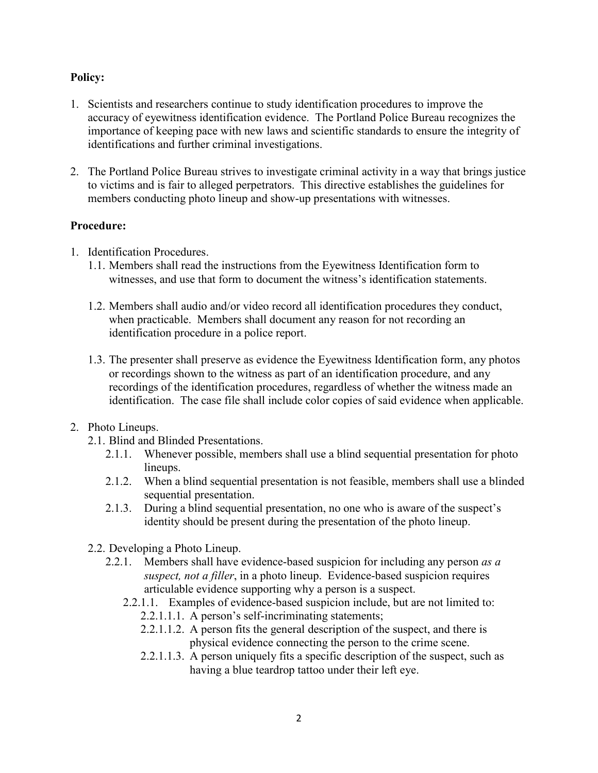## **Policy:**

- 1. Scientists and researchers continue to study identification procedures to improve the accuracy of eyewitness identification evidence. The Portland Police Bureau recognizes the importance of keeping pace with new laws and scientific standards to ensure the integrity of identifications and further criminal investigations.
- 2. The Portland Police Bureau strives to investigate criminal activity in a way that brings justice to victims and is fair to alleged perpetrators. This directive establishes the guidelines for members conducting photo lineup and show-up presentations with witnesses.

## **Procedure:**

- 1. Identification Procedures.
	- 1.1. Members shall read the instructions from the Eyewitness Identification form to witnesses, and use that form to document the witness's identification statements.
	- 1.2. Members shall audio and/or video record all identification procedures they conduct, when practicable. Members shall document any reason for not recording an identification procedure in a police report.
	- 1.3. The presenter shall preserve as evidence the Eyewitness Identification form, any photos or recordings shown to the witness as part of an identification procedure, and any recordings of the identification procedures, regardless of whether the witness made an identification. The case file shall include color copies of said evidence when applicable.
- 2. Photo Lineups.
	- 2.1. Blind and Blinded Presentations.
		- 2.1.1. Whenever possible, members shall use a blind sequential presentation for photo lineups.
		- 2.1.2. When a blind sequential presentation is not feasible, members shall use a blinded sequential presentation.
		- 2.1.3. During a blind sequential presentation, no one who is aware of the suspect's identity should be present during the presentation of the photo lineup.
	- 2.2. Developing a Photo Lineup.
		- 2.2.1. Members shall have evidence-based suspicion for including any person *as a suspect, not a filler*, in a photo lineup. Evidence-based suspicion requires articulable evidence supporting why a person is a suspect.
			- 2.2.1.1. Examples of evidence-based suspicion include, but are not limited to:
				- 2.2.1.1.1. A person's self-incriminating statements;
				- 2.2.1.1.2. A person fits the general description of the suspect, and there is physical evidence connecting the person to the crime scene.
				- 2.2.1.1.3. A person uniquely fits a specific description of the suspect, such as having a blue teardrop tattoo under their left eye.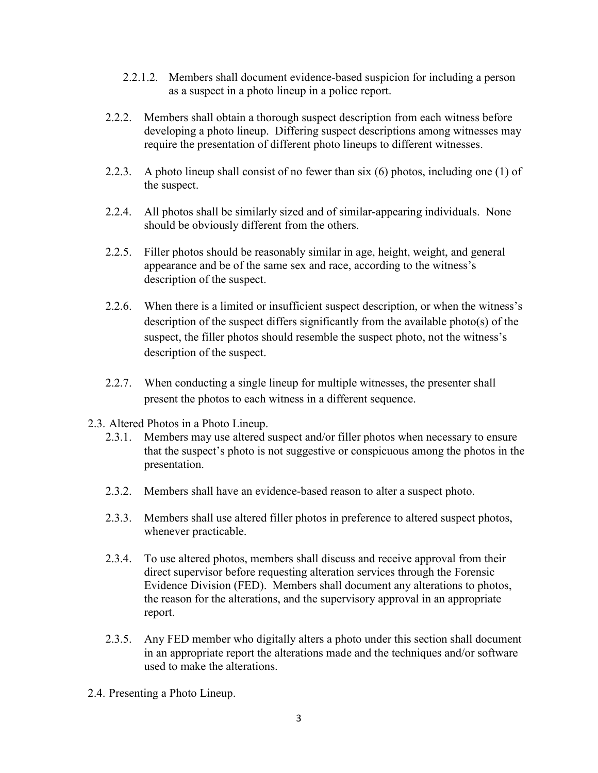- 2.2.1.2. Members shall document evidence-based suspicion for including a person as a suspect in a photo lineup in a police report.
- 2.2.2. Members shall obtain a thorough suspect description from each witness before developing a photo lineup. Differing suspect descriptions among witnesses may require the presentation of different photo lineups to different witnesses.
- 2.2.3. A photo lineup shall consist of no fewer than six (6) photos, including one (1) of the suspect.
- 2.2.4. All photos shall be similarly sized and of similar-appearing individuals. None should be obviously different from the others.
- 2.2.5. Filler photos should be reasonably similar in age, height, weight, and general appearance and be of the same sex and race, according to the witness's description of the suspect.
- 2.2.6. When there is a limited or insufficient suspect description, or when the witness's description of the suspect differs significantly from the available photo(s) of the suspect, the filler photos should resemble the suspect photo, not the witness's description of the suspect.
- 2.2.7. When conducting a single lineup for multiple witnesses, the presenter shall present the photos to each witness in a different sequence.
- 2.3. Altered Photos in a Photo Lineup.
	- 2.3.1. Members may use altered suspect and/or filler photos when necessary to ensure that the suspect's photo is not suggestive or conspicuous among the photos in the presentation.
	- 2.3.2. Members shall have an evidence-based reason to alter a suspect photo.
	- 2.3.3. Members shall use altered filler photos in preference to altered suspect photos, whenever practicable.
	- 2.3.4. To use altered photos, members shall discuss and receive approval from their direct supervisor before requesting alteration services through the Forensic Evidence Division (FED). Members shall document any alterations to photos, the reason for the alterations, and the supervisory approval in an appropriate report.
	- 2.3.5. Any FED member who digitally alters a photo under this section shall document in an appropriate report the alterations made and the techniques and/or software used to make the alterations.
- 2.4. Presenting a Photo Lineup.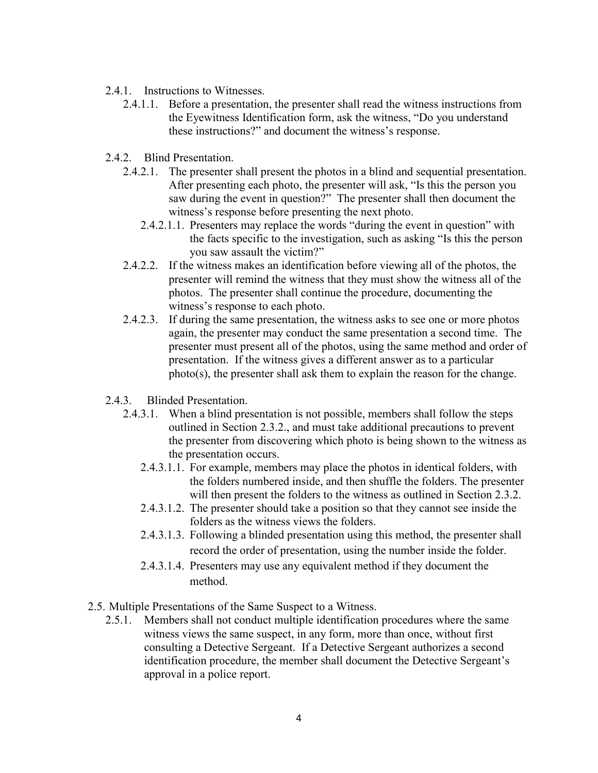- 2.4.1. Instructions to Witnesses.
	- 2.4.1.1. Before a presentation, the presenter shall read the witness instructions from the Eyewitness Identification form, ask the witness, "Do you understand these instructions?" and document the witness's response.
- 2.4.2. Blind Presentation.
	- 2.4.2.1. The presenter shall present the photos in a blind and sequential presentation. After presenting each photo, the presenter will ask, "Is this the person you saw during the event in question?" The presenter shall then document the witness's response before presenting the next photo.
		- 2.4.2.1.1. Presenters may replace the words "during the event in question" with the facts specific to the investigation, such as asking "Is this the person you saw assault the victim?"
	- 2.4.2.2. If the witness makes an identification before viewing all of the photos, the presenter will remind the witness that they must show the witness all of the photos. The presenter shall continue the procedure, documenting the witness's response to each photo.
	- 2.4.2.3. If during the same presentation, the witness asks to see one or more photos again, the presenter may conduct the same presentation a second time. The presenter must present all of the photos, using the same method and order of presentation. If the witness gives a different answer as to a particular photo(s), the presenter shall ask them to explain the reason for the change.
- 2.4.3. Blinded Presentation.
	- 2.4.3.1. When a blind presentation is not possible, members shall follow the steps outlined in Section 2.3.2., and must take additional precautions to prevent the presenter from discovering which photo is being shown to the witness as the presentation occurs.
		- 2.4.3.1.1. For example, members may place the photos in identical folders, with the folders numbered inside, and then shuffle the folders. The presenter will then present the folders to the witness as outlined in Section 2.3.2.
		- 2.4.3.1.2. The presenter should take a position so that they cannot see inside the folders as the witness views the folders.
		- 2.4.3.1.3. Following a blinded presentation using this method, the presenter shall record the order of presentation, using the number inside the folder.
		- 2.4.3.1.4. Presenters may use any equivalent method if they document the method.
- 2.5. Multiple Presentations of the Same Suspect to a Witness.
	- 2.5.1. Members shall not conduct multiple identification procedures where the same witness views the same suspect, in any form, more than once, without first consulting a Detective Sergeant. If a Detective Sergeant authorizes a second identification procedure, the member shall document the Detective Sergeant's approval in a police report.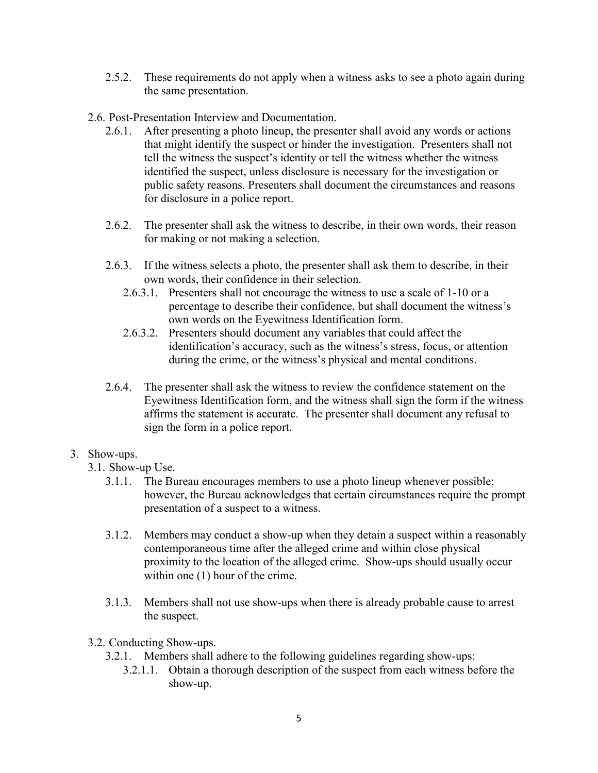- 2.5.2. These requirements do not apply when a witness asks to see a photo again during the same presentation.
- 2.6. Post-Presentation Interview and Documentation.
	- 2.6.1. After presenting a photo lineup, the presenter shall avoid any words or actions that might identify the suspect or hinder the investigation. Presenters shall not tell the witness the suspect's identity or tell the witness whether the witness identified the suspect, unless disclosure is necessary for the investigation or public safety reasons. Presenters shall document the circumstances and reasons for disclosure in a police report.
	- 2.6.2. The presenter shall ask the witness to describe, in their own words, their reason for making or not making a selection.
	- 2.6.3. If the witness selects a photo, the presenter shall ask them to describe, in their own words, their confidence in their selection.
		- 2.6.3.1. Presenters shall not encourage the witness to use a scale of 1-10 or a percentage to describe their confidence, but shall document the witness's own words on the Eyewitness Identification form.
		- 2.6.3.2. Presenters should document any variables that could affect the identification's accuracy, such as the witness's stress, focus, or attention during the crime, or the witness's physical and mental conditions.
	- 2.6.4. The presenter shall ask the witness to review the confidence statement on the Eyewitness Identification form, and the witness shall sign the form if the witness affirms the statement is accurate. The presenter shall document any refusal to sign the form in a police report.

## 3. Show-ups.

- 3.1. Show-up Use.
	- 3.1.1. The Bureau encourages members to use a photo lineup whenever possible; however, the Bureau acknowledges that certain circumstances require the prompt presentation of a suspect to a witness.
	- 3.1.2. Members may conduct a show-up when they detain a suspect within a reasonably contemporaneous time after the alleged crime and within close physical proximity to the location of the alleged crime. Show-ups should usually occur within one (1) hour of the crime.
	- 3.1.3. Members shall not use show-ups when there is already probable cause to arrest the suspect.
- 3.2. Conducting Show-ups.
	- 3.2.1. Members shall adhere to the following guidelines regarding show-ups:
		- 3.2.1.1. Obtain a thorough description of the suspect from each witness before the show-up.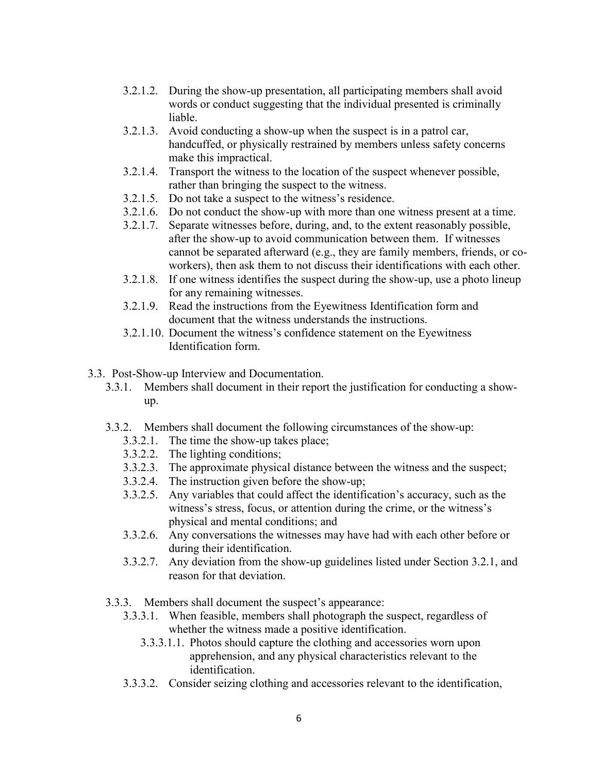- 3.2.1.2. During the show-up presentation, all participating members shall avoid words or conduct suggesting that the individual presented is criminally liable.
- 3.2.1.3. Avoid conducting a show-up when the suspect is in a patrol car, handcuffed, or physically restrained by members unless safety concerns make this impractical.
- 3.2.1.4. Transport the witness to the location of the suspect whenever possible, rather than bringing the suspect to the witness.
- 3.2.1.5. Do not take a suspect to the witness's residence.
- 3.2.1.6. Do not conduct the show-up with more than one witness present at a time.
- 3.2.1.7. Separate witnesses before, during, and, to the extent reasonably possible, after the show-up to avoid communication between them. If witnesses cannot be separated afterward (e.g., they are family members, friends, or coworkers), then ask them to not discuss their identifications with each other.
- 3.2.1.8. If one witness identifies the suspect during the show-up, use a photo lineup for any remaining witnesses.
- 3.2.1.9. Read the instructions from the Eyewitness Identification form and document that the witness understands the instructions.
- 3.2.1.10. Document the witness's confidence statement on the Eyewitness Identification form.
- 3.3. Post-Show-up Interview and Documentation.
	- 3.3.1. Members shall document in their report the justification for conducting a showup.
	- 3.3.2. Members shall document the following circumstances of the show-up:
		- 3.3.2.1. The time the show-up takes place;
		- 3.3.2.2. The lighting conditions;
		- 3.3.2.3. The approximate physical distance between the witness and the suspect;
		- 3.3.2.4. The instruction given before the show-up;
		- 3.3.2.5. Any variables that could affect the identification's accuracy, such as the witness's stress, focus, or attention during the crime, or the witness's physical and mental conditions; and
		- 3.3.2.6. Any conversations the witnesses may have had with each other before or during their identification.
		- 3.3.2.7. Any deviation from the show-up guidelines listed under Section 3.2.1, and reason for that deviation.
	- 3.3.3. Members shall document the suspect's appearance:
		- 3.3.3.1. When feasible, members shall photograph the suspect, regardless of whether the witness made a positive identification.
			- 3.3.3.1.1. Photos should capture the clothing and accessories worn upon apprehension, and any physical characteristics relevant to the identification.
		- 3.3.3.2. Consider seizing clothing and accessories relevant to the identification,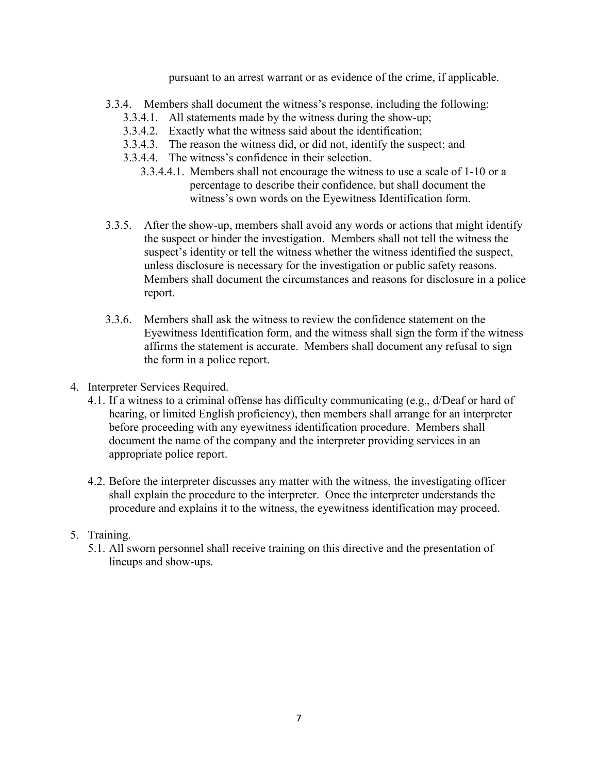pursuant to an arrest warrant or as evidence of the crime, if applicable.

- 3.3.4. Members shall document the witness's response, including the following:
	- 3.3.4.1. All statements made by the witness during the show-up;
	- 3.3.4.2. Exactly what the witness said about the identification;
	- 3.3.4.3. The reason the witness did, or did not, identify the suspect; and
	- 3.3.4.4. The witness's confidence in their selection.
		- 3.3.4.4.1. Members shall not encourage the witness to use a scale of 1-10 or a percentage to describe their confidence, but shall document the witness's own words on the Eyewitness Identification form.
- 3.3.5. After the show-up, members shall avoid any words or actions that might identify the suspect or hinder the investigation. Members shall not tell the witness the suspect's identity or tell the witness whether the witness identified the suspect, unless disclosure is necessary for the investigation or public safety reasons. Members shall document the circumstances and reasons for disclosure in a police report.
- 3.3.6. Members shall ask the witness to review the confidence statement on the Eyewitness Identification form, and the witness shall sign the form if the witness affirms the statement is accurate. Members shall document any refusal to sign the form in a police report.
- 4. Interpreter Services Required.
	- 4.1. If a witness to a criminal offense has difficulty communicating (e.g., d/Deaf or hard of hearing, or limited English proficiency), then members shall arrange for an interpreter before proceeding with any eyewitness identification procedure. Members shall document the name of the company and the interpreter providing services in an appropriate police report.
	- 4.2. Before the interpreter discusses any matter with the witness, the investigating officer shall explain the procedure to the interpreter. Once the interpreter understands the procedure and explains it to the witness, the eyewitness identification may proceed.

## 5. Training.

5.1. All sworn personnel shall receive training on this directive and the presentation of lineups and show-ups.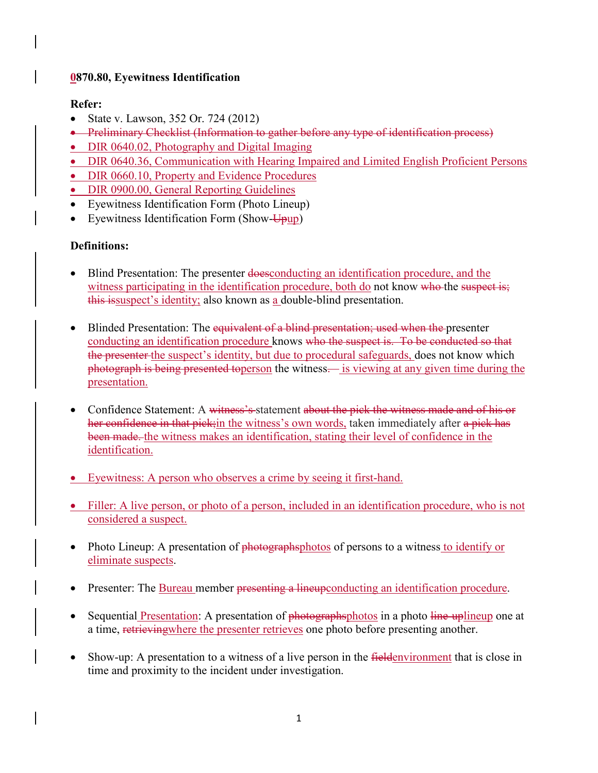## **0870.80, Eyewitness Identification**

## **Refer:**

- State v. Lawson, 352 Or. 724 (2012)
- Preliminary Checklist (Information to gather before any type of identification process)
- DIR 0640.02, Photography and Digital Imaging
- DIR 0640.36, Communication with Hearing Impaired and Limited English Proficient Persons
- DIR 0660.10, Property and Evidence Procedures
- DIR 0900.00, General Reporting Guidelines
- Eyewitness Identification Form (Photo Lineup)
- Eyewitness Identification Form (Show-Upup)

## **Definitions:**

- Blind Presentation: The presenter doesconducting an identification procedure, and the witness participating in the identification procedure, both do not know who the suspect is; this issuspect's identity; also known as a double-blind presentation.
- Blinded Presentation: The equivalent of a blind presentation; used when the presenter conducting an identification procedure knows who the suspect is. To be conducted so that the presenter the suspect's identity, but due to procedural safeguards, does not know which photograph is being presented toperson the witness— is viewing at any given time during the presentation.
- Confidence Statement: A witness's statement about the pick the witness made and of his or her confidence in that pick; in the witness's own words, taken immediately after a pick has been made. the witness makes an identification, stating their level of confidence in the identification.
- Eyewitness: A person who observes a crime by seeing it first-hand.
- Filler: A live person, or photo of a person, included in an identification procedure, who is not considered a suspect.
- Photo Lineup: A presentation of photographsphotos of persons to a witness to identify or eliminate suspects.
- Presenter: The Bureau member presenting a lineupconducting an identification procedure.
- Sequential Presentation: A presentation of photographsphotos in a photo line-uplineup one at a time, retrieving where the presenter retrieves one photo before presenting another.
- Show-up: A presentation to a witness of a live person in the *fieldenvironment* that is close in time and proximity to the incident under investigation.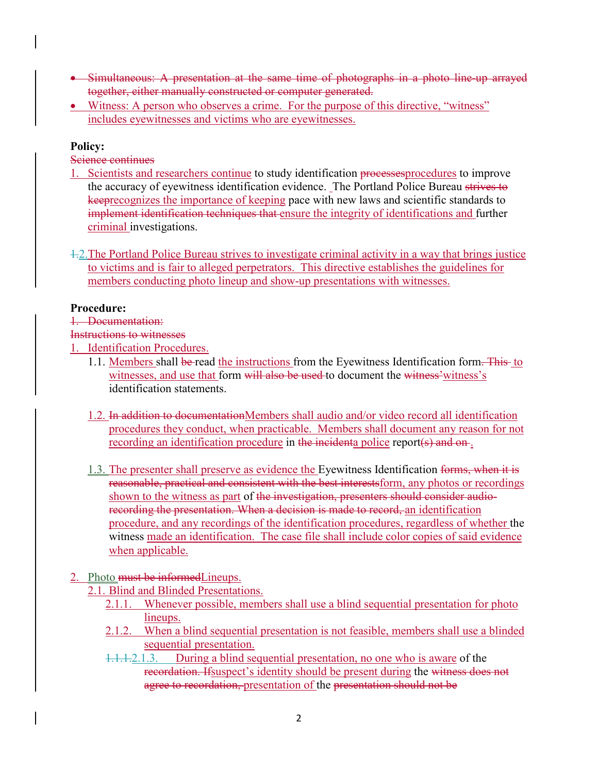- Simultaneous: A presentation at the same time of photographs in a photo line-up arrayed together, either manually constructed or computer generated.
- Witness: A person who observes a crime. For the purpose of this directive, "witness" includes eyewitnesses and victims who are eyewitnesses.

## **Policy:**

Science continues

- 1. Scientists and researchers continue to study identification processesprocedures to improve the accuracy of eyewitness identification evidence. The Portland Police Bureau strives to keeprecognizes the importance of keeping pace with new laws and scientific standards to implement identification techniques that ensure the integrity of identifications and further criminal investigations.
- 1.2.The Portland Police Bureau strives to investigate criminal activity in a way that brings justice to victims and is fair to alleged perpetrators. This directive establishes the guidelines for members conducting photo lineup and show-up presentations with witnesses.

## **Procedure:**

## 1. Documentation:

## Instructions to witnesses

- 1. Identification Procedures.
	- 1.1. Members shall be read the instructions from the Eyewitness Identification form. This to witnesses, and use that form will also be used to document the witness' witness's identification statements.
	- 1.2. In addition to documentationMembers shall audio and/or video record all identification procedures they conduct, when practicable. Members shall document any reason for not recording an identification procedure in the incidenta police report(s) and on.
	- 1.3. The presenter shall preserve as evidence the Eyewitness Identification forms, when it is reasonable, practical and consistent with the best interestsform, any photos or recordings shown to the witness as part of the investigation, presenters should consider audiorecording the presentation. When a decision is made to record, an identification procedure, and any recordings of the identification procedures, regardless of whether the witness made an identification. The case file shall include color copies of said evidence when applicable.

## 2. Photo must be informedLineups.

- 2.1. Blind and Blinded Presentations.
	- 2.1.1. Whenever possible, members shall use a blind sequential presentation for photo lineups.
	- 2.1.2. When a blind sequential presentation is not feasible, members shall use a blinded sequential presentation.
	- 1.1.1.2.1.3. During a blind sequential presentation, no one who is aware of the recordation. Ifsuspect's identity should be present during the witness does not agree to recordation, presentation of the presentation should not be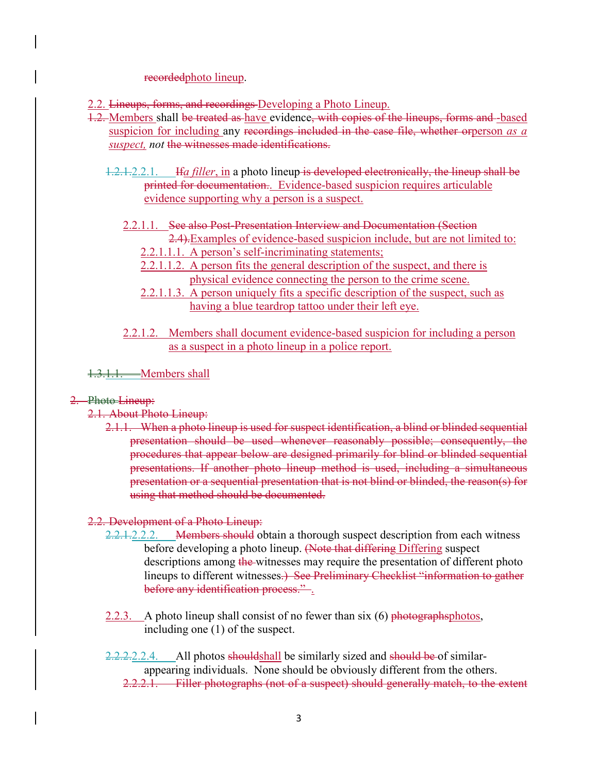#### recordedphoto lineup.

- 2.2. Lineups, forms, and recordings Developing a Photo Lineup.
- 1.2. Members shall be treated as have evidence, with copies of the lineups, forms and -based suspicion for including any recordings included in the case file, whether orperson *as a suspect, not* the witnesses made identifications.
	- 1.2.1.2.2.1. If*a filler*, in a photo lineup is developed electronically, the lineup shall be printed for documentation.. Evidence-based suspicion requires articulable evidence supporting why a person is a suspect.
		- 2.2.1.1. See also Post-Presentation Interview and Documentation (Section 2.4).Examples of evidence-based suspicion include, but are not limited to:
			- 2.2.1.1.1. A person's self-incriminating statements;
			- 2.2.1.1.2. A person fits the general description of the suspect, and there is physical evidence connecting the person to the crime scene.
			- 2.2.1.1.3. A person uniquely fits a specific description of the suspect, such as having a blue teardrop tattoo under their left eye.
		- 2.2.1.2. Members shall document evidence-based suspicion for including a person as a suspect in a photo lineup in a police report.

1.3.1.1. Members shall

#### 2. Photo Lineup:

#### 2.1. About Photo Lineup:

2.1.1. When a photo lineup is used for suspect identification, a blind or blinded sequential presentation should be used whenever reasonably possible; consequently, the procedures that appear below are designed primarily for blind or blinded sequential presentations. If another photo lineup method is used, including a simultaneous presentation or a sequential presentation that is not blind or blinded, the reason(s) for using that method should be documented.

#### 2.2. Development of a Photo Lineup:

- 2.2.1.2.2.2. Members should obtain a thorough suspect description from each witness before developing a photo lineup. (Note that differing Differing suspect descriptions among the witnesses may require the presentation of different photo lineups to different witnesses.) See Preliminary Checklist "information to gather before any identification process.".
- 2.2.3. A photo lineup shall consist of no fewer than six  $(6)$  photographsphotos, including one (1) of the suspect.
- 2.2.2.2.2.4. All photos shouldshall be similarly sized and should be of similarappearing individuals. None should be obviously different from the others. 2.2.2.1. Filler photographs (not of a suspect) should generally match, to the extent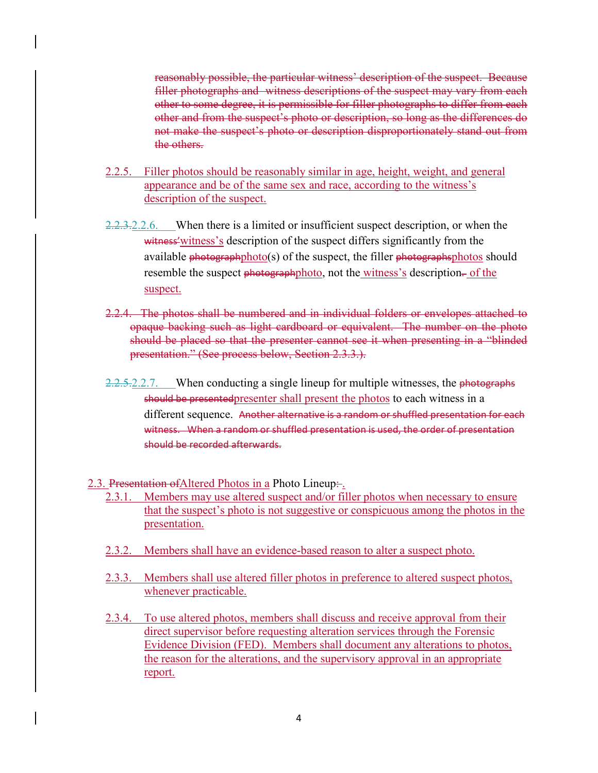reasonably possible, the particular witness' description of the suspect. Because filler photographs and witness descriptions of the suspect may vary from each other to some degree, it is permissible for filler photographs to differ from each other and from the suspect's photo or description, so long as the differences do not make the suspect's photo or description disproportionately stand out from the others.

- 2.2.5. Filler photos should be reasonably similar in age, height, weight, and general appearance and be of the same sex and race, according to the witness's description of the suspect.
- $2.2.3.2.2.6$ . When there is a limited or insufficient suspect description, or when the witness' witness' s description of the suspect differs significantly from the available  $photographphoto(s)$  of the suspect, the filler  $photographsphotos$  should resemble the suspect photographphoto, not the witness's description- of the suspect.
- 2.2.4. The photos shall be numbered and in individual folders or envelopes attached to opaque backing such as light cardboard or equivalent. The number on the photo should be placed so that the presenter cannot see it when presenting in a "blinded presentation." (See process below, Section 2.3.3.).
- 2.2.5.2.2.7. When conducting a single lineup for multiple witnesses, the photographs should be presentedpresenter shall present the photos to each witness in a different sequence. Another alternative is a random or shuffled presentation for each witness. When a random or shuffled presentation is used, the order of presentation should be recorded afterwards.

2.3. Presentation of Altered Photos in a Photo Lineup:

- 2.3.1. Members may use altered suspect and/or filler photos when necessary to ensure that the suspect's photo is not suggestive or conspicuous among the photos in the presentation.
- 2.3.2. Members shall have an evidence-based reason to alter a suspect photo.
- 2.3.3. Members shall use altered filler photos in preference to altered suspect photos, whenever practicable.
- 2.3.4. To use altered photos, members shall discuss and receive approval from their direct supervisor before requesting alteration services through the Forensic Evidence Division (FED). Members shall document any alterations to photos, the reason for the alterations, and the supervisory approval in an appropriate report.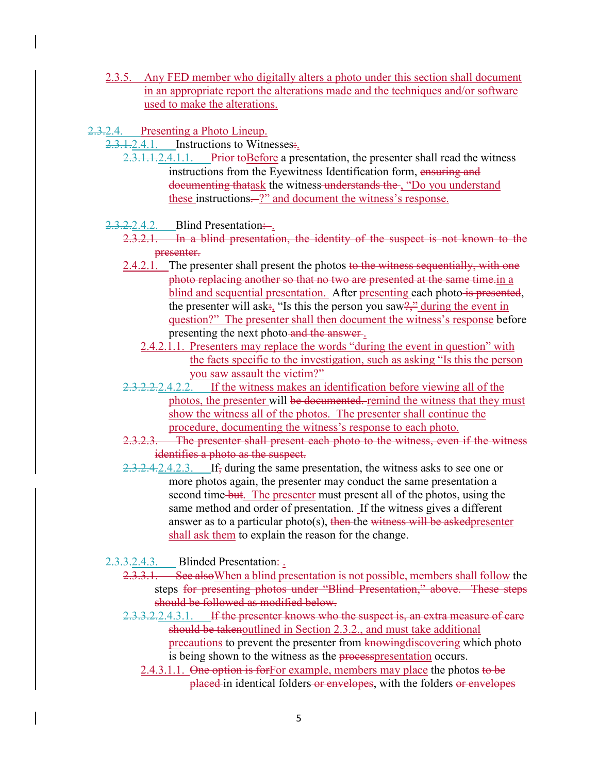- 2.3.5. Any FED member who digitally alters a photo under this section shall document in an appropriate report the alterations made and the techniques and/or software used to make the alterations.
- 2.3.2.4. Presenting a Photo Lineup.
	- 2.3.1.2.4.1. Instructions to Witnesses.
		- 2.3.1.1.2.4.1.1. Prior to Before a presentation, the presenter shall read the witness instructions from the Eyewitness Identification form, ensuring and documenting thatask the witness understands the , "Do you understand these instructions.<sup>2</sup> and document the witness's response.
	- $2.3.2.2.4.2.$  Blind Presentation:
		- 2.3.2.1. In a blind presentation, the identity of the suspect is not known to the presenter.
		- 2.4.2.1. The presenter shall present the photos to the witness sequentially, with one photo replacing another so that no two are presented at the same time.in a blind and sequential presentation. After presenting each photo is presented, the presenter will ask:, "Is this the person you saw?", during the event in question?" The presenter shall then document the witness's response before presenting the next photo and the answer.
			- 2.4.2.1.1. Presenters may replace the words "during the event in question" with the facts specific to the investigation, such as asking "Is this the person you saw assault the victim?"
		- 2.3.2.2.2.4.2.2. If the witness makes an identification before viewing all of the photos, the presenter will be documented. remind the witness that they must show the witness all of the photos. The presenter shall continue the procedure, documenting the witness's response to each photo.
		- 2.3.2.3. The presenter shall present each photo to the witness, even if the witness identifies a photo as the suspect.
		- 2.3.2.4.2.4.2.3. If, during the same presentation, the witness asks to see one or more photos again, the presenter may conduct the same presentation a second time but. The presenter must present all of the photos, using the same method and order of presentation. If the witness gives a different answer as to a particular photo(s), then the witness will be askedpresenter shall ask them to explain the reason for the change.
	- $2.3.3.2.4.3.$  Blinded Presentation:
		- 2.3.3.1. See also When a blind presentation is not possible, members shall follow the steps for presenting photos under "Blind Presentation," above. These steps should be followed as modified below.
		- 2.3.3.2.2.4.3.1. If the presenter knows who the suspect is, an extra measure of care should be takenoutlined in Section 2.3.2., and must take additional precautions to prevent the presenter from knowing discovering which photo is being shown to the witness as the process presentation occurs.
			- 2.4.3.1.1. One option is for For example, members may place the photos to be placed in identical folders or envelopes, with the folders or envelopes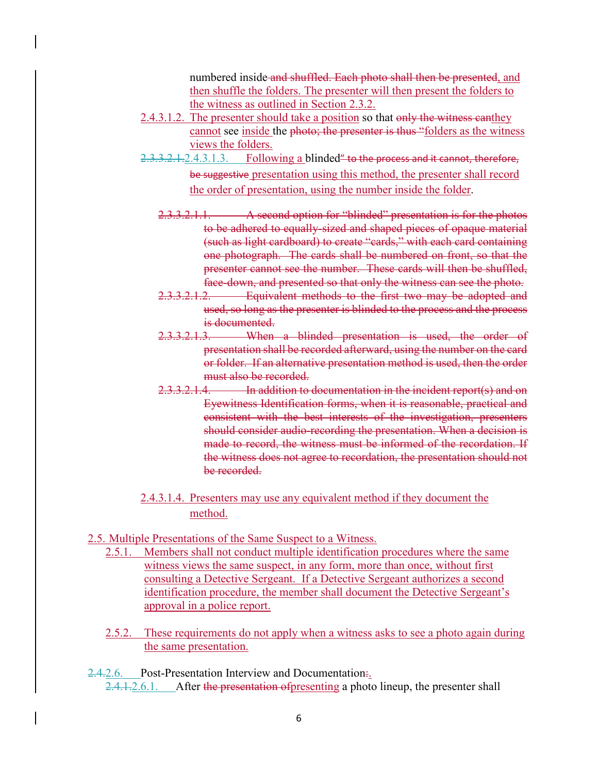numbered inside and shuffled. Each photo shall then be presented, and then shuffle the folders. The presenter will then present the folders to the witness as outlined in Section 2.3.2.

- 2.4.3.1.2. The presenter should take a position so that only the witness canthey cannot see inside the photo; the presenter is thus "folders as the witness views the folders.
- 2.3.3.2.1.2.4.3.1.3. Following a blinded" to the process and it cannot, therefore, be suggestive presentation using this method, the presenter shall record the order of presentation, using the number inside the folder.
	- 2.3.3.2.1.1. A second option for "blinded" presentation is for the photos to be adhered to equally-sized and shaped pieces of opaque material (such as light cardboard) to create "cards," with each card containing one photograph. The cards shall be numbered on front, so that the presenter cannot see the number. These cards will then be shuffled, face-down, and presented so that only the witness can see the photo.
	- 2.3.3.2.1.2. Equivalent methods to the first two may be adopted and used, so long as the presenter is blinded to the process and the process is documented.
	- 2.3.3.2.1.3. When a blinded presentation is used, the order of presentation shall be recorded afterward, using the number on the card or folder. If an alternative presentation method is used, then the order must also be recorded.
	- 2.3.3.2.1.4. In addition to documentation in the incident report(s) and on Eyewitness Identification forms, when it is reasonable, practical and consistent with the best interests of the investigation, presenters should consider audio-recording the presentation. When a decision is made to record, the witness must be informed of the recordation. If the witness does not agree to recordation, the presentation should not be recorded.
- 2.4.3.1.4. Presenters may use any equivalent method if they document the method.
- 2.5. Multiple Presentations of the Same Suspect to a Witness.
	- 2.5.1. Members shall not conduct multiple identification procedures where the same witness views the same suspect, in any form, more than once, without first consulting a Detective Sergeant. If a Detective Sergeant authorizes a second identification procedure, the member shall document the Detective Sergeant's approval in a police report.
	- 2.5.2. These requirements do not apply when a witness asks to see a photo again during the same presentation.

2.4.2.6. Post-Presentation Interview and Documentation. 2.4.1.2.6.1. After the presentation of presenting a photo lineup, the presenter shall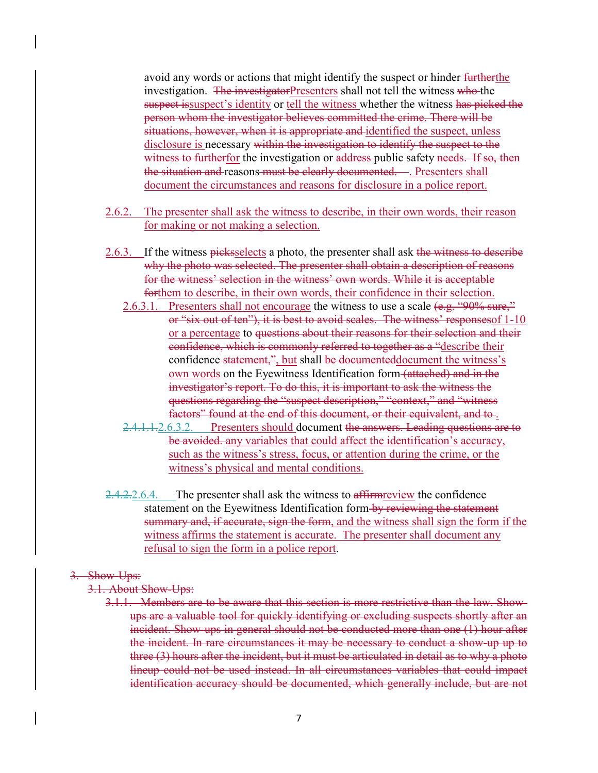avoid any words or actions that might identify the suspect or hinder furtherthe investigation. The investigator Presenters shall not tell the witness who the suspect is suspect's identity or tell the witness whether the witness has picked the person whom the investigator believes committed the crime. There will be situations, however, when it is appropriate and identified the suspect, unless disclosure is necessary within the investigation to identify the suspect to the witness to furtherfor the investigation or address public safety needs. If so, then the situation and reasons must be clearly documented. ... Presenters shall document the circumstances and reasons for disclosure in a police report.

- 2.6.2. The presenter shall ask the witness to describe, in their own words, their reason for making or not making a selection.
- 2.6.3. If the witness picks selects a photo, the presenter shall ask the witness to describe why the photo was selected. The presenter shall obtain a description of reasons for the witness' selection in the witness' own words. While it is acceptable forthem to describe, in their own words, their confidence in their selection.
	- 2.6.3.1. Presenters shall not encourage the witness to use a scale (e.g. "90% sure," or "six out of ten"), it is best to avoid scales. The witness' responsesof 1-10 or a percentage to questions about their reasons for their selection and their confidence, which is commonly referred to together as a "describe their confidence statement,", but shall be documenteddocument the witness's own words on the Eyewitness Identification form (attached) and in the investigator's report. To do this, it is important to ask the witness the questions regarding the "suspect description," "context," and "witness factors" found at the end of this document, or their equivalent, and to.
	- 2.4.1.1.2.6.3.2. Presenters should document the answers. Leading questions are to be avoided. any variables that could affect the identification's accuracy, such as the witness's stress, focus, or attention during the crime, or the witness's physical and mental conditions.
- $2.4.2.2.6.4.$  The presenter shall ask the witness to affirm review the confidence statement on the Eyewitness Identification form by reviewing the statement summary and, if accurate, sign the form, and the witness shall sign the form if the witness affirms the statement is accurate. The presenter shall document any refusal to sign the form in a police report.

#### 3. Show-Ups:

- 3.1. About Show-Ups:
	- 3.1.1. Members are to be aware that this section is more restrictive than the law. Showups are a valuable tool for quickly identifying or excluding suspects shortly after an incident. Show-ups in general should not be conducted more than one (1) hour after the incident. In rare circumstances it may be necessary to conduct a show-up up to three (3) hours after the incident, but it must be articulated in detail as to why a photo lineup could not be used instead. In all circumstances variables that could impact identification accuracy should be documented, which generally include, but are not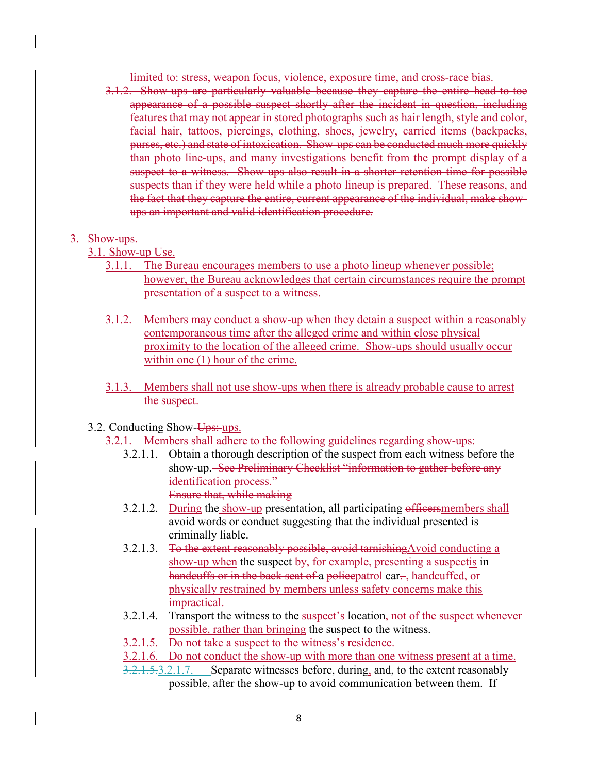limited to: stress, weapon focus, violence, exposure time, and cross-race bias.

3.1.2. Show-ups are particularly valuable because they capture the entire head-to-toe appearance of a possible suspect shortly after the incident in question, including features that may not appear in stored photographs such as hair length, style and color, facial hair, tattoos, piercings, clothing, shoes, jewelry, carried items (backpacks, purses, etc.) and state of intoxication. Show-ups can be conducted much more quickly than photo line-ups, and many investigations benefit from the prompt display of a suspect to a witness. Show-ups also result in a shorter retention time for possible suspects than if they were held while a photo lineup is prepared. These reasons, and the fact that they capture the entire, current appearance of the individual, make showups an important and valid identification procedure.

#### 3. Show-ups.

- 3.1. Show-up Use.
	- 3.1.1. The Bureau encourages members to use a photo lineup whenever possible; however, the Bureau acknowledges that certain circumstances require the prompt presentation of a suspect to a witness.
	- 3.1.2. Members may conduct a show-up when they detain a suspect within a reasonably contemporaneous time after the alleged crime and within close physical proximity to the location of the alleged crime. Show-ups should usually occur within one  $(1)$  hour of the crime.
	- 3.1.3. Members shall not use show-ups when there is already probable cause to arrest the suspect.
- 3.2. Conducting Show-Ups: ups.
	- 3.2.1. Members shall adhere to the following guidelines regarding show-ups:
		- 3.2.1.1. Obtain a thorough description of the suspect from each witness before the show-up. See Preliminary Checklist "information to gather before any identification process." Ensure that, while making
		- 3.2.1.2. During the show-up presentation, all participating officersmembers shall avoid words or conduct suggesting that the individual presented is criminally liable.
		- 3.2.1.3. To the extent reasonably possible, avoid tarnishing Avoid conducting a show-up when the suspect by, for example, presenting a suspectis in handcuffs or in the back seat of a policepatrol car-, handcuffed, or physically restrained by members unless safety concerns make this impractical.
		- 3.2.1.4. Transport the witness to the suspect's-location, not of the suspect whenever possible, rather than bringing the suspect to the witness.
		- 3.2.1.5. Do not take a suspect to the witness's residence.
		- 3.2.1.6. Do not conduct the show-up with more than one witness present at a time.
		- 3.2.1.5.3.2.1.7. Separate witnesses before, during, and, to the extent reasonably possible, after the show-up to avoid communication between them. If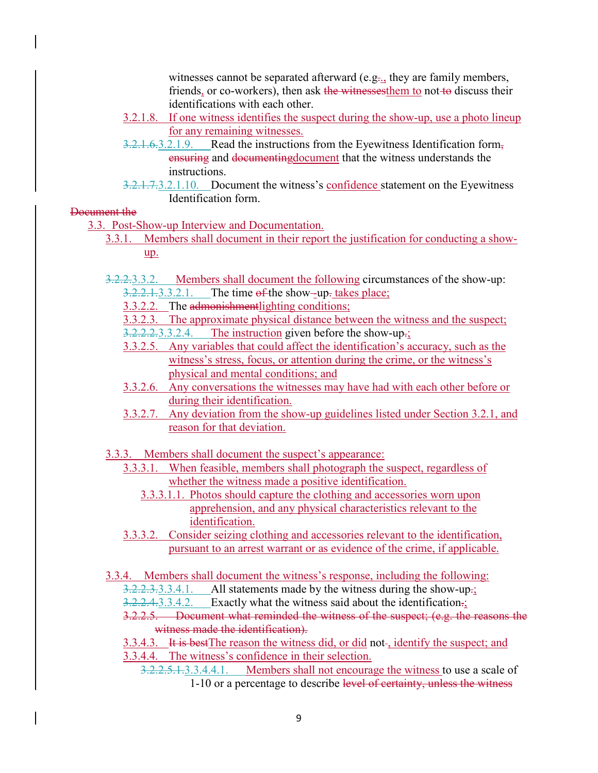witnesses cannot be separated afterward (e.g. they are family members, friends, or co-workers), then ask the witnesses them to not to discuss their identifications with each other.

- 3.2.1.8. If one witness identifies the suspect during the show-up, use a photo lineup for any remaining witnesses.
- 3.2.1.6.3.2.1.9. Read the instructions from the Eyewitness Identification form, ensuring and documentingdocument that the witness understands the instructions.
- 3.2.1.7.3.2.1.10. Document the witness's confidence statement on the Eyewitness Identification form.

Document the

3.3. Post-Show-up Interview and Documentation.

- 3.3.1. Members shall document in their report the justification for conducting a showup.
- 3.2.2.3.3.2. Members shall document the following circumstances of the show-up:  $3.2.2.1.3.3.2.1$ . The time of the show--up-takes place;

3.3.2.2. The admonishmentlighting conditions;

3.3.2.3. The approximate physical distance between the witness and the suspect;

 $3.2.2.2.3.3.2.4$ . The instruction given before the show-up-;

- 3.3.2.5. Any variables that could affect the identification's accuracy, such as the witness's stress, focus, or attention during the crime, or the witness's physical and mental conditions; and
- 3.3.2.6. Any conversations the witnesses may have had with each other before or during their identification.
- 3.3.2.7. Any deviation from the show-up guidelines listed under Section 3.2.1, and reason for that deviation.
- 3.3.3. Members shall document the suspect's appearance:
	- 3.3.3.1. When feasible, members shall photograph the suspect, regardless of whether the witness made a positive identification.
		- 3.3.3.1.1. Photos should capture the clothing and accessories worn upon apprehension, and any physical characteristics relevant to the identification.
	- 3.3.3.2. Consider seizing clothing and accessories relevant to the identification, pursuant to an arrest warrant or as evidence of the crime, if applicable.

3.3.4. Members shall document the witness's response, including the following:

- $3.2.2.3.3.3.4.1.$  All statements made by the witness during the show-up-;
- 3.2.2.4.3.3.4.2. Exactly what the witness said about the identification.;
- 3.2.2.5. Document what reminded the witness of the suspect; (e.g. the reasons the witness made the identification).
- 3.3.4.3. It is best The reason the witness did, or did not-, identify the suspect; and
- 3.3.4.4. The witness's confidence in their selection.
	- 3.2.2.5.1.3.3.4.4.1. Members shall not encourage the witness to use a scale of 1-10 or a percentage to describe level of certainty, unless the witness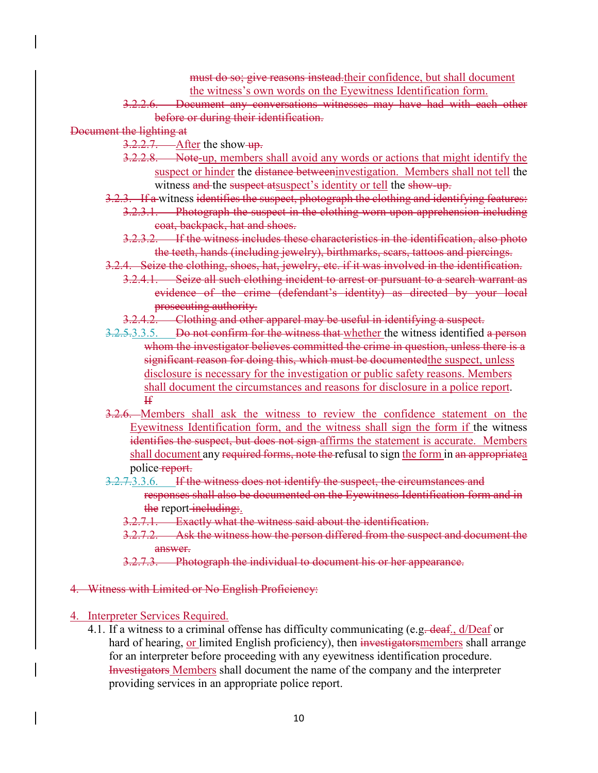must do so; give reasons instead their confidence, but shall document the witness's own words on the Eyewitness Identification form.

- 3.2.2.6. Document any conversations witnesses may have had with each other before or during their identification.
- Document the lighting at
	- $3.2.2.7.$  After the show-up.
	- 3.2.2.8. Note-up, members shall avoid any words or actions that might identify the suspect or hinder the distance betweeninvestigation. Members shall not tell the witness and the suspect atsuspect's identity or tell the show-up.
	- 3.2.3. If a witness identifies the suspect, photograph the clothing and identifying features:
		- 3.2.3.1. Photograph the suspect in the clothing worn upon apprehension including coat, backpack, hat and shoes.
			- 3.2.3.2. If the witness includes these characteristics in the identification, also photo the teeth, hands (including jewelry), birthmarks, scars, tattoos and piercings.
	- 3.2.4. Seize the clothing, shoes, hat, jewelry, etc. if it was involved in the identification.
		- 3.2.4.1. Seize all such clothing incident to arrest or pursuant to a search warrant as evidence of the crime (defendant's identity) as directed by your local prosecuting authority.
	- 3.2.4.2. Clothing and other apparel may be useful in identifying a suspect.
	- 3.2.5.3.3.5. Do not confirm for the witness that whether the witness identified a person whom the investigator believes committed the crime in question, unless there is a significant reason for doing this, which must be documented the suspect, unless disclosure is necessary for the investigation or public safety reasons. Members shall document the circumstances and reasons for disclosure in a police report. If
	- 3.2.6. Members shall ask the witness to review the confidence statement on the Eyewitness Identification form, and the witness shall sign the form if the witness identifies the suspect, but does not sign affirms the statement is accurate. Members shall document any required forms, note the refusal to sign the form in an appropriatea police-report.
	- 3.2.7.3.3.6. If the witness does not identify the suspect, the circumstances and responses shall also be documented on the Eyewitness Identification form and in the report-including:.
		- 3.2.7.1. Exactly what the witness said about the identification.
		- 3.2.7.2. Ask the witness how the person differed from the suspect and document the answer.
		- 3.2.7.3. Photograph the individual to document his or her appearance.

#### 4. Witness with Limited or No English Proficiency:

- 4. Interpreter Services Required.
	- 4.1. If a witness to a criminal offense has difficulty communicating (e.g. deaf., d/Deaf or hard of hearing, or limited English proficiency), then investigators members shall arrange for an interpreter before proceeding with any eyewitness identification procedure. Investigators Members shall document the name of the company and the interpreter providing services in an appropriate police report.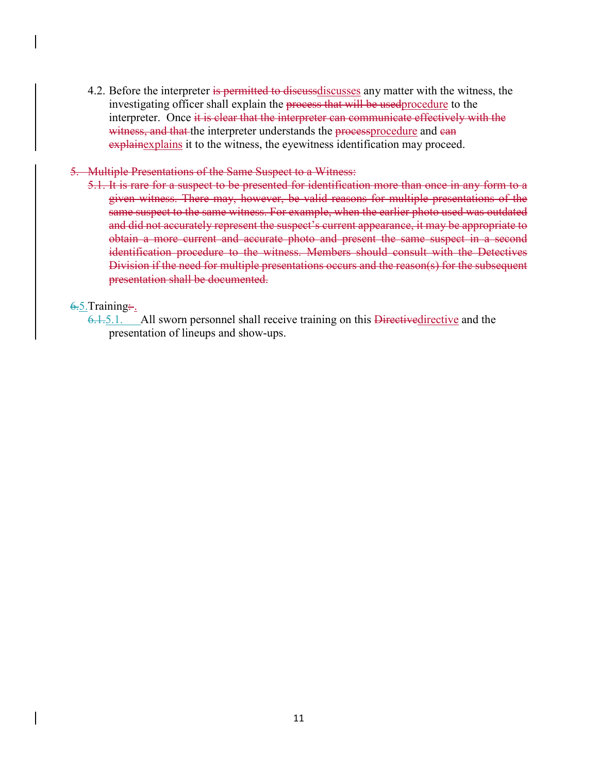4.2. Before the interpreter is permitted to discussediscusses any matter with the witness, the investigating officer shall explain the process that will be used procedure to the interpreter. Once it is clear that the interpreter can communicate effectively with the witness, and that the interpreter understands the processprocedure and can explainexplains it to the witness, the eyewitness identification may proceed.

#### 5. Multiple Presentations of the Same Suspect to a Witness:

5.1. It is rare for a suspect to be presented for identification more than once in any form to a given witness. There may, however, be valid reasons for multiple presentations of the same suspect to the same witness. For example, when the earlier photo used was outdated and did not accurately represent the suspect's current appearance, it may be appropriate to obtain a more current and accurate photo and present the same suspect in a second identification procedure to the witness. Members should consult with the Detectives Division if the need for multiple presentations occurs and the reason(s) for the subsequent presentation shall be documented.

## $6.5$ .Training:

6.1.5.1. All sworn personnel shall receive training on this Directive directive and the presentation of lineups and show-ups.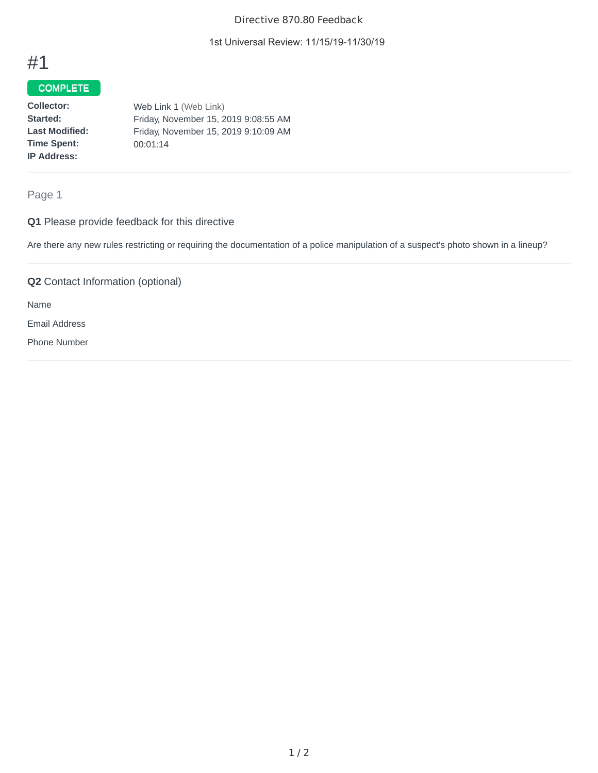#### Directive 870.80 Feedback

1st Universal Review: 11/15/19-11/30/19

## #1

## **COMPLETE**

| Collector:            | Web Link 1 (Web Link)                |
|-----------------------|--------------------------------------|
| Started:              | Friday, November 15, 2019 9:08:55 AM |
| <b>Last Modified:</b> | Friday, November 15, 2019 9:10:09 AM |
| <b>Time Spent:</b>    | 00:01:14                             |
| <b>IP Address:</b>    |                                      |

Page 1

## **Q1** Please provide feedback for this directive

Are there any new rules restricting or requiring the documentation of a police manipulation of a suspect's photo shown in a lineup?

**Q2** Contact Information (optional)

Name

Email Address

Phone Number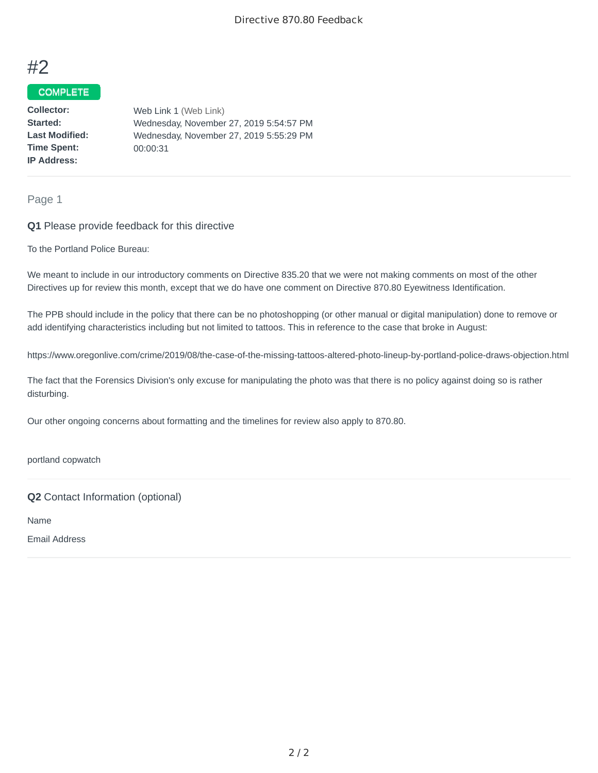

### COMPLETE

**Collector: Started: Last Modified: Time Spent: IP Address:** Web Link 1 (Web Link) Wednesday, November 27, 2019 5:54:57 PM Wednesday, November 27, 2019 5:55:29 PM 00:00:31

Page 1

#### **Q1** Please provide feedback for this directive

To the Portland Police Bureau:

We meant to include in our introductory comments on Directive 835.20 that we were not making comments on most of the other Directives up for review this month, except that we do have one comment on Directive 870.80 Eyewitness Identification.

The PPB should include in the policy that there can be no photoshopping (or other manual or digital manipulation) done to remove or add identifying characteristics including but not limited to tattoos. This in reference to the case that broke in August:

https://www.oregonlive.com/crime/2019/08/the-case-of-the-missing-tattoos-altered-photo-lineup-by-portland-police-draws-objection.html

The fact that the Forensics Division's only excuse for manipulating the photo was that there is no policy against doing so is rather disturbing.

Our other ongoing concerns about formatting and the timelines for review also apply to 870.80.

portland copwatch

**Q2** Contact Information (optional)

Name

Email Address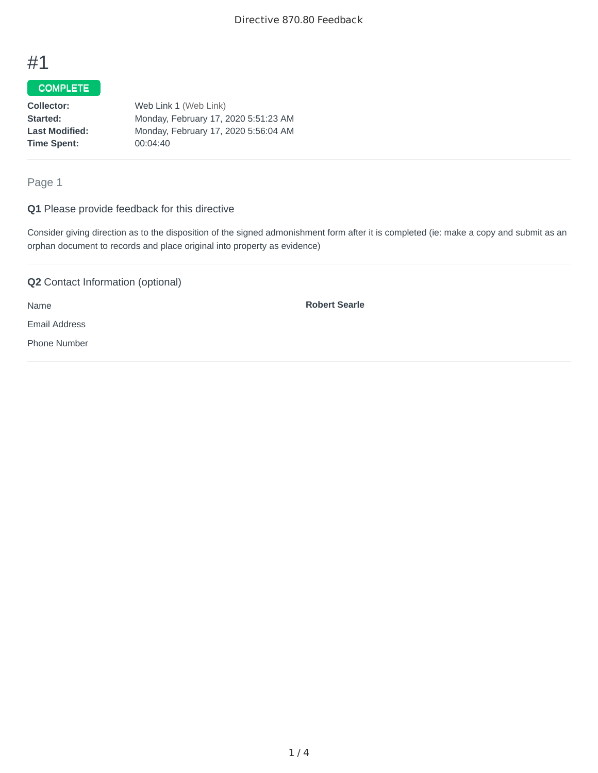## #1

## COMPLETE

| Collector:            | Web Link 1 (Web Link)                |
|-----------------------|--------------------------------------|
| <b>Started:</b>       | Monday, February 17, 2020 5:51:23 AM |
| <b>Last Modified:</b> | Monday, February 17, 2020 5:56:04 AM |
| Time Spent:           | 00:04:40                             |
|                       |                                      |

Page 1

#### **Q1** Please provide feedback for this directive

Consider giving direction as to the disposition of the signed admonishment form after it is completed (ie: make a copy and submit as an orphan document to records and place original into property as evidence)

## **Q2** Contact Information (optional)

Name

**Robert Searle**

Email Address

Phone Number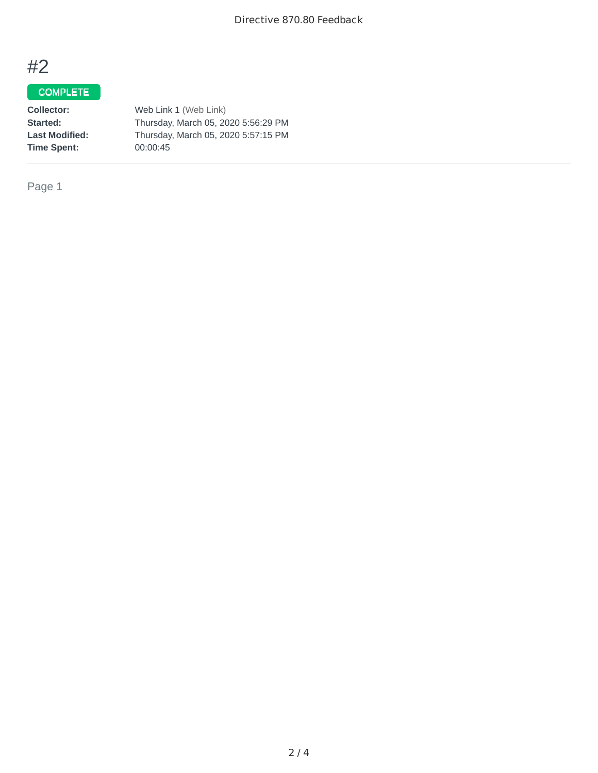# #2

## COMPLETE

**Collector:** Web Link 1 (Web Link) **Started:** Thursday, March 05, 2020 5:56:29 PM<br> **Last Modified:** Thursday, March 05, 2020 5:57:15 PM **Last Modified:** Thursday, March 05, 2020 5:57:15 PM **Time Spent:** 00:00:45

Page 1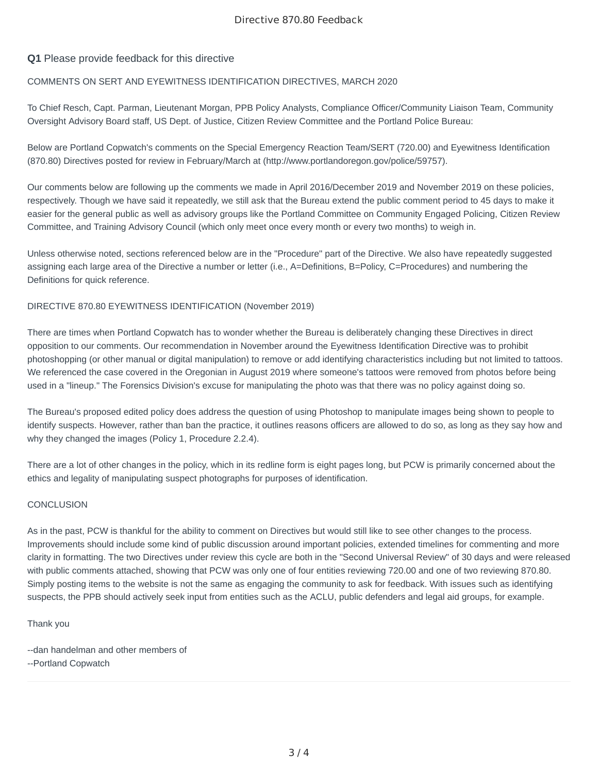#### Directive 870.80 Feedback

#### **Q1** Please provide feedback for this directive

#### COMMENTS ON SERT AND EYEWITNESS IDENTIFICATION DIRECTIVES, MARCH 2020

To Chief Resch, Capt. Parman, Lieutenant Morgan, PPB Policy Analysts, Compliance Officer/Community Liaison Team, Community Oversight Advisory Board staff, US Dept. of Justice, Citizen Review Committee and the Portland Police Bureau:

Below are Portland Copwatch's comments on the Special Emergency Reaction Team/SERT (720.00) and Eyewitness Identification (870.80) Directives posted for review in February/March at (http://www.portlandoregon.gov/police/59757).

Our comments below are following up the comments we made in April 2016/December 2019 and November 2019 on these policies, respectively. Though we have said it repeatedly, we still ask that the Bureau extend the public comment period to 45 days to make it easier for the general public as well as advisory groups like the Portland Committee on Community Engaged Policing, Citizen Review Committee, and Training Advisory Council (which only meet once every month or every two months) to weigh in.

Unless otherwise noted, sections referenced below are in the "Procedure" part of the Directive. We also have repeatedly suggested assigning each large area of the Directive a number or letter (i.e., A=Definitions, B=Policy, C=Procedures) and numbering the Definitions for quick reference.

#### DIRECTIVE 870.80 EYEWITNESS IDENTIFICATION (November 2019)

There are times when Portland Copwatch has to wonder whether the Bureau is deliberately changing these Directives in direct opposition to our comments. Our recommendation in November around the Eyewitness Identification Directive was to prohibit photoshopping (or other manual or digital manipulation) to remove or add identifying characteristics including but not limited to tattoos. We referenced the case covered in the Oregonian in August 2019 where someone's tattoos were removed from photos before being used in a "lineup." The Forensics Division's excuse for manipulating the photo was that there was no policy against doing so.

The Bureau's proposed edited policy does address the question of using Photoshop to manipulate images being shown to people to identify suspects. However, rather than ban the practice, it outlines reasons officers are allowed to do so, as long as they say how and why they changed the images (Policy 1, Procedure 2.2.4).

There are a lot of other changes in the policy, which in its redline form is eight pages long, but PCW is primarily concerned about the ethics and legality of manipulating suspect photographs for purposes of identification.

#### **CONCLUSION**

As in the past, PCW is thankful for the ability to comment on Directives but would still like to see other changes to the process. Improvements should include some kind of public discussion around important policies, extended timelines for commenting and more clarity in formatting. The two Directives under review this cycle are both in the "Second Universal Review" of 30 days and were released with public comments attached, showing that PCW was only one of four entities reviewing 720.00 and one of two reviewing 870.80. Simply posting items to the website is not the same as engaging the community to ask for feedback. With issues such as identifying suspects, the PPB should actively seek input from entities such as the ACLU, public defenders and legal aid groups, for example.

Thank you

- --dan handelman and other members of
- --Portland Copwatch